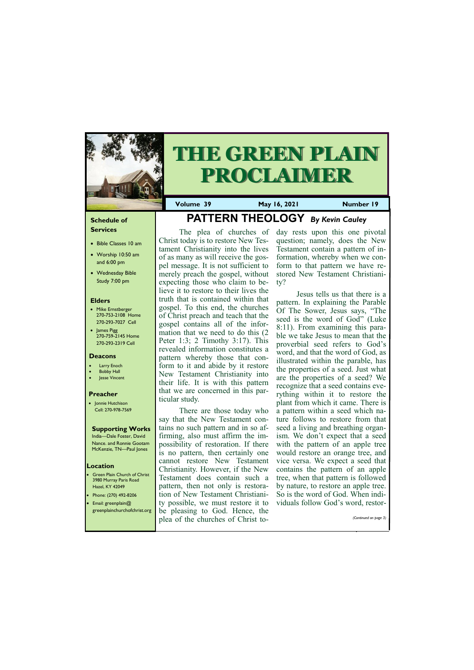#### **Schedule of Services**

- Bible Classes 10 am
- Worship 10:50 am and 6:00 pm
- Wednesday Bible Study 7:00 pm

#### **Elders**

- Mike Ernstberger 270-753-2108 Home 270-293-7027 Cell
- James Pigg 270-759-2145 Home 270-293-2319 Cell

Green Plain Church of Christ 3980 Murray Paris Road Hazel, KY 42049 • Phone: (270) 492-8206 • Email: greenplain@

#### **Location**



# **THE GREEN PLAIN PROCLAIMER**

**Volume 39 May 16, 2021 Number 19**

#### **Deacons**

- **Larry Enoch**
- **Bobby Hall**
- Jesse Vincent

#### **Preacher**

• Jonnie Hutchison Cell: 270-978-7569

#### **Supporting Works**

India—Dale Foster, David Nance. and Ronnie Gootam McKenzie, TN—Paul Jones

## **PATTERN THEOLOGY** *By Kevin Cauley*

The plea of churches of Christ today is to restore New Testament Christianity into the lives of as many as will receive the gospel message. It is not sufficient to merely preach the gospel, without expecting those who claim to believe it to restore to their lives the truth that is contained within that gospel. To this end, the churches of Christ preach and teach that the gospel contains all of the information that we need to do this (2 Peter 1:3; 2 Timothy 3:17). This revealed information constitutes a pattern whereby those that conform to it and abide by it restore New Testament Christianity into their life. It is with this pattern that we are concerned in this particular study.

There are those today who say that the New Testament contains no such pattern and in so affirming, also must affirm the impossibility of restoration. If there is no pattern, then certainly one cannot restore New Testament Christianity. However, if the New Testament does contain such a pattern, then not only is restoration of New Testament Christianity possible, we must restore it to

| greenplainchurchofchrist.org be pleasing to God. Hence, the |  |
|-------------------------------------------------------------|--|
| (Continued on page 3)<br>plea of the churches of Christ to- |  |

day rests upon this one pivotal question; namely, does the New Testament contain a pattern of information, whereby when we conform to that pattern we have restored New Testament Christianity?

Jesus tells us that there is a pattern. In explaining the Parable Of The Sower, Jesus says, "The seed is the word of God" (Luke 8:11). From examining this parable we take Jesus to mean that the proverbial seed refers to God's word, and that the word of God, as illustrated within the parable, has the properties of a seed. Just what are the properties of a seed? We recognize that a seed contains everything within it to restore the plant from which it came. There is a pattern within a seed which nature follows to restore from that seed a living and breathing organism. We don't expect that a seed with the pattern of an apple tree would restore an orange tree, and vice versa. We expect a seed that contains the pattern of an apple tree, when that pattern is followed by nature, to restore an apple tree. So is the word of God. When individuals follow God's word, restor-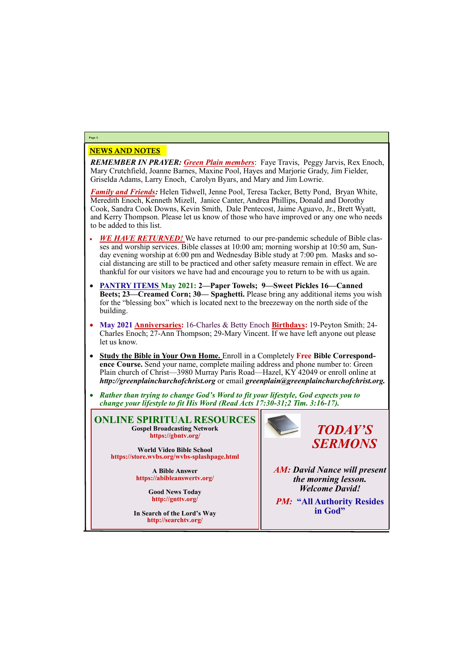#### NEWS AND NOTES

*REMEMBER IN PRAYER: Green Plain members*: Faye Travis, Peggy Jarvis, Rex Enoch, Mary Crutchfield, Joanne Barnes, Maxine Pool, Hayes and Marjorie Grady, Jim Fielder, Griselda Adams, Larry Enoch, Carolyn Byars, and Mary and Jim Lowrie.

*Family and Friends:* Helen Tidwell, Jenne Pool, Teresa Tacker, Betty Pond, Bryan White, Meredith Enoch, Kenneth Mizell, Janice Canter, Andrea Phillips, Donald and Dorothy Cook, Sandra Cook Downs, Kevin Smith, Dale Pentecost, Jaime Aguavo, Jr., Brett Wyatt, and Kerry Thompson. Please let us know of those who have improved or any one who needs to be added to this list.

- *WE HAVE RETURNED!* We have returned to our pre-pandemic schedule of Bible classes and worship services. Bible classes at 10:00 am; morning worship at 10:50 am, Sunday evening worship at 6:00 pm and Wednesday Bible study at 7:00 pm. Masks and social distancing are still to be practiced and other safety measure remain in effect. We are thankful for our visitors we have had and encourage you to return to be with us again.
- **PANTRY ITEMS May 2021: 2—Paper Towels; 9—Sweet Pickles 16—Canned Beets; 23—Creamed Corn; 30— Spaghetti.** Please bring any additional items you wish for the "blessing box" which is located next to the breezeway on the north side of the building.
- **May 2021 Anniversaries:** 16-Charles & Betty Enoch **Birthdays:** 19-Peyton Smith; 24- Charles Enoch; 27-Ann Thompson; 29-Mary Vincent. If we have left anyone out please let us know.
- **Study the Bible in Your Own Home.** Enroll in a Completely **Free Bible Correspondence Course.** Send your name, complete mailing address and phone number to: Green Plain church of Christ—3980 Murray Paris Road—Hazel, KY 42049 or enroll online at *http://greenplainchurchofchrist.org* or email *greenplain@greenplainchurchofchrist.org.*
- *Rather than trying to change God's Word to fit your lifestyle, God expects you to change your lifestyle to fit His Word (Read Acts 17:30-31;2 Tim. 3:16-17).*

### **Page 2**

**ONLINE SPIRITUAL RESOURCES Gospel Broadcasting Network https://gbntv.org/**

**World Video Bible School https://store.wvbs.org/wvbs-splashpage.html**

> **A Bible Answer https://abibleanswertv.org/**

> > **Good News Today http://gnttv.org/**

**In Search of the Lord's Way http://searchtv.org/**



*AM: David Nance will present the morning lesson. Welcome David!*

*PM:* **"All Authority Resides** 

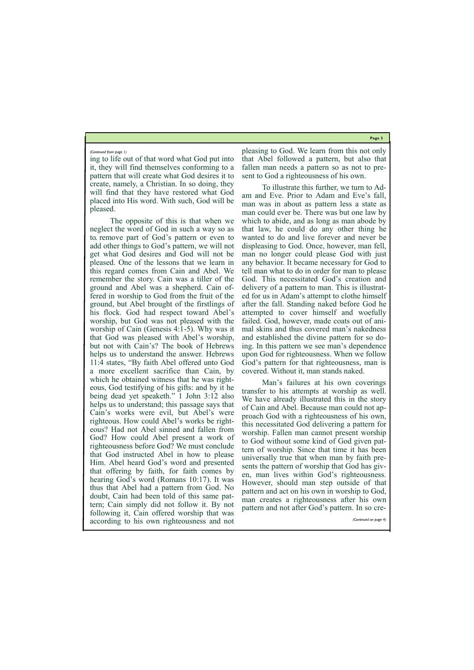**Page 3**

ing to life out of that word what God put into it, they will find themselves conforming to a pattern that will create what God desires it to create, namely, a Christian. In so doing, they will find that they have restored what God placed into His word. With such, God will be pleased.

The opposite of this is that when we neglect the word of God in such a way so as to remove part of God's pattern or even to add other things to God's pattern, we will not get what God desires and God will not be pleased. One of the lessons that we learn in this regard comes from Cain and Abel. We remember the story. Cain was a tiller of the ground and Abel was a shepherd. Cain offered in worship to God from the fruit of the ground, but Abel brought of the firstlings of his flock. God had respect toward Abel's worship, but God was not pleased with the worship of Cain (Genesis 4:1-5). Why was it that God was pleased with Abel's worship, but not with Cain's? The book of Hebrews helps us to understand the answer. Hebrews 11:4 states, "By faith Abel offered unto God a more excellent sacrifice than Cain, by which he obtained witness that he was righteous, God testifying of his gifts: and by it he being dead yet speaketh." 1 John 3:12 also helps us to understand; this passage says that Cain's works were evil, but Abel's were righteous. How could Abel's works be righteous? Had not Abel sinned and fallen from God? How could Abel present a work of righteousness before God? We must conclude that God instructed Abel in how to please Him. Abel heard God's word and presented that offering by faith, for faith comes by hearing God's word (Romans 10:17). It was thus that Abel had a pattern from God. No doubt, Cain had been told of this same pattern; Cain simply did not follow it. By not following it, Cain offered worship that was according to his own righteousness and not

pleasing to God. We learn from this not only that Abel followed a pattern, but also that fallen man needs a pattern so as not to present to God a righteousness of his own.

To illustrate this further, we turn to Adam and Eve. Prior to Adam and Eve's fall, man was in about as pattern less a state as man could ever be. There was but one law by which to abide, and as long as man abode by that law, he could do any other thing he wanted to do and live forever and never be displeasing to God. Once, however, man fell, man no longer could please God with just any behavior. It became necessary for God to tell man what to do in order for man to please God. This necessitated God's creation and delivery of a pattern to man. This is illustrated for us in Adam's attempt to clothe himself after the fall. Standing naked before God he attempted to cover himself and woefully failed. God, however, made coats out of animal skins and thus covered man's nakedness and established the divine pattern for so doing. In this pattern we see man's dependence upon God for righteousness. When we follow God's pattern for that righteousness, man is covered. Without it, man stands naked.

Man's failures at his own coverings transfer to his attempts at worship as well. We have already illustrated this in the story of Cain and Abel. Because man could not approach God with a righteousness of his own, this necessitated God delivering a pattern for worship. Fallen man cannot present worship to God without some kind of God given pattern of worship. Since that time it has been universally true that when man by faith presents the pattern of worship that God has given, man lives within God's righteousness. However, should man step outside of that pattern and act on his own in worship to God, man creates a righteousness after his own

pattern and not after God's pattern. In so cre-

#### *(Continued from page 1)*

*(Continued on page 4)*